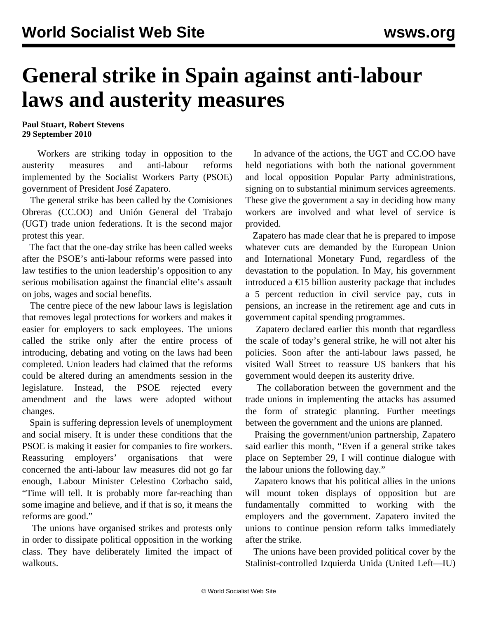## **General strike in Spain against anti-labour laws and austerity measures**

**Paul Stuart, Robert Stevens 29 September 2010**

 Workers are striking today in opposition to the austerity measures and anti-labour reforms implemented by the Socialist Workers Party (PSOE) government of President José Zapatero.

 The general strike has been called by the Comisiones Obreras (CC.OO) and Unión General del Trabajo (UGT) trade union federations. It is the second major protest this year.

 The fact that the one-day strike has been called weeks after the PSOE's anti-labour reforms were passed into law testifies to the union leadership's opposition to any serious mobilisation against the financial elite's assault on jobs, wages and social benefits.

 The centre piece of the new labour laws is legislation that removes legal protections for workers and makes it easier for employers to sack employees. The unions called the strike only after the entire process of introducing, debating and voting on the laws had been completed. Union leaders had claimed that the reforms could be altered during an amendments session in the legislature. Instead, the PSOE rejected every amendment and the laws were adopted without changes.

 Spain is suffering depression levels of unemployment and social misery. It is under these conditions that the PSOE is making it easier for companies to fire workers. Reassuring employers' organisations that were concerned the anti-labour law measures did not go far enough, Labour Minister Celestino Corbacho said, "Time will tell. It is probably more far-reaching than some imagine and believe, and if that is so, it means the reforms are good."

 The unions have organised strikes and protests only in order to dissipate political opposition in the working class. They have deliberately limited the impact of walkouts.

 In advance of the actions, the UGT and CC.OO have held negotiations with both the national government and local opposition Popular Party administrations, signing on to substantial minimum services agreements. These give the government a say in deciding how many workers are involved and what level of service is provided.

 Zapatero has made clear that he is prepared to impose whatever cuts are demanded by the European Union and International Monetary Fund, regardless of the devastation to the population. In May, his government introduced a  $\epsilon$ 15 billion austerity package that includes a 5 percent reduction in civil service pay, cuts in pensions, an increase in the retirement age and cuts in government capital spending programmes.

 Zapatero declared earlier this month that regardless the scale of today's general strike, he will not alter his policies. Soon after the anti-labour laws passed, he visited Wall Street to reassure US bankers that his government would deepen its austerity drive.

 The collaboration between the government and the trade unions in implementing the attacks has assumed the form of strategic planning. Further meetings between the government and the unions are planned.

 Praising the government/union partnership, Zapatero said earlier this month, "Even if a general strike takes place on September 29, I will continue dialogue with the labour unions the following day."

 Zapatero knows that his political allies in the unions will mount token displays of opposition but are fundamentally committed to working with the employers and the government. Zapatero invited the unions to continue pension reform talks immediately after the strike.

 The unions have been provided political cover by the Stalinist-controlled Izquierda Unida (United Left—IU)